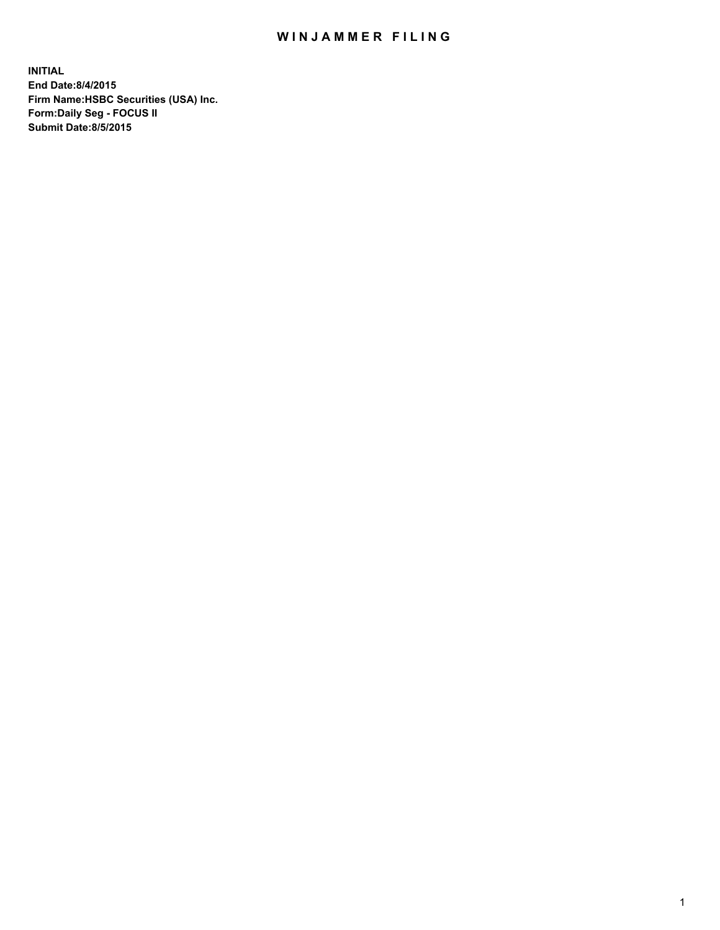## WIN JAMMER FILING

**INITIAL End Date:8/4/2015 Firm Name:HSBC Securities (USA) Inc. Form:Daily Seg - FOCUS II Submit Date:8/5/2015**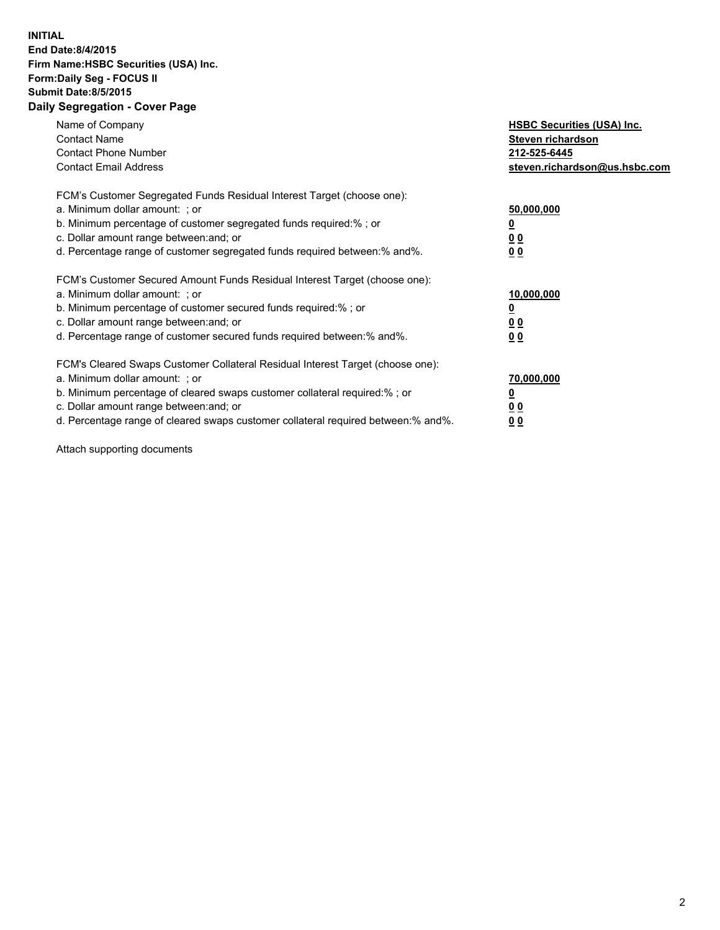## **INITIAL End Date:8/4/2015 Firm Name:HSBC Securities (USA) Inc. Form:Daily Seg - FOCUS II Submit Date:8/5/2015 Daily Segregation - Cover Page**

| Name of Company<br><b>Contact Name</b><br><b>Contact Phone Number</b><br><b>Contact Email Address</b>                                                                                                                                                                                                                          | <b>HSBC Securities (USA) Inc.</b><br>Steven richardson<br>212-525-6445<br>steven.richardson@us.hsbc.com |
|--------------------------------------------------------------------------------------------------------------------------------------------------------------------------------------------------------------------------------------------------------------------------------------------------------------------------------|---------------------------------------------------------------------------------------------------------|
| FCM's Customer Segregated Funds Residual Interest Target (choose one):<br>a. Minimum dollar amount: ; or<br>b. Minimum percentage of customer segregated funds required:%; or<br>c. Dollar amount range between: and; or<br>d. Percentage range of customer segregated funds required between:% and%.                          | 50,000,000<br>00<br>00                                                                                  |
| FCM's Customer Secured Amount Funds Residual Interest Target (choose one):<br>a. Minimum dollar amount: ; or<br>b. Minimum percentage of customer secured funds required:%; or<br>c. Dollar amount range between: and; or<br>d. Percentage range of customer secured funds required between:% and%.                            | 10,000,000<br>0 <sub>0</sub><br>00                                                                      |
| FCM's Cleared Swaps Customer Collateral Residual Interest Target (choose one):<br>a. Minimum dollar amount: ; or<br>b. Minimum percentage of cleared swaps customer collateral required:% ; or<br>c. Dollar amount range between: and; or<br>d. Percentage range of cleared swaps customer collateral required between:% and%. | 70,000,000<br><u>00</u><br><u>00</u>                                                                    |

Attach supporting documents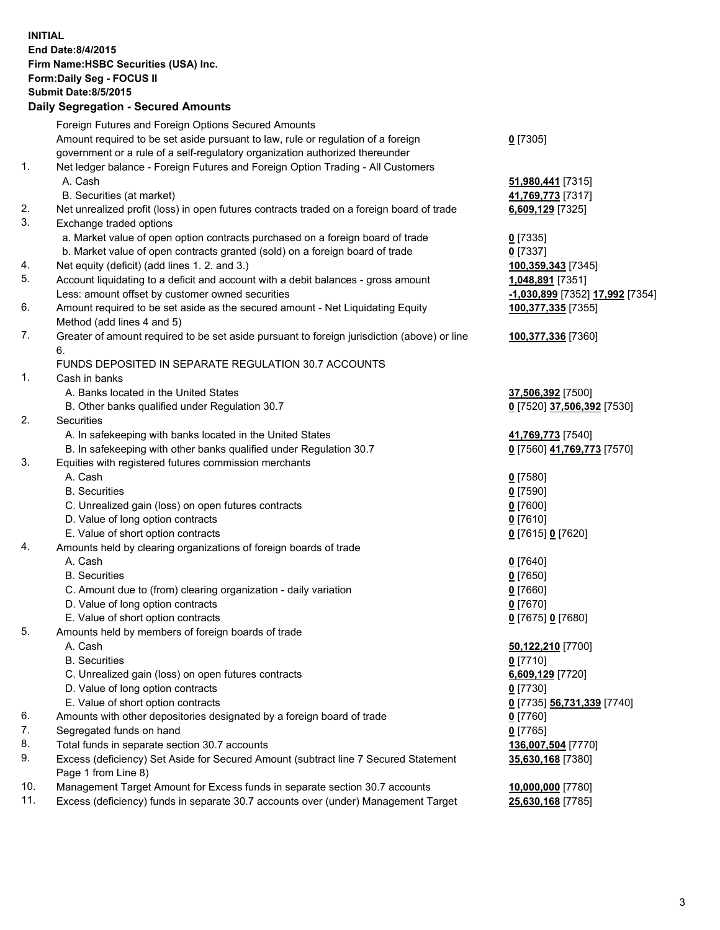**INITIAL End Date:8/4/2015 Firm Name:HSBC Securities (USA) Inc. Form:Daily Seg - FOCUS II Submit Date:8/5/2015 Daily Segregation - Secured Amounts** Foreign Futures and Foreign Options Secured Amounts Amount required to be set aside pursuant to law, rule or regulation of a foreign government or a rule of a self-regulatory organization authorized thereunder **0** [7305] 1. Net ledger balance - Foreign Futures and Foreign Option Trading - All Customers A. Cash **51,980,441** [7315] B. Securities (at market) **41,769,773** [7317] 2. Net unrealized profit (loss) in open futures contracts traded on a foreign board of trade **6,609,129** [7325] 3. Exchange traded options a. Market value of open option contracts purchased on a foreign board of trade **0** [7335] b. Market value of open contracts granted (sold) on a foreign board of trade **0** [7337] 4. Net equity (deficit) (add lines 1. 2. and 3.) **100,359,343** [7345] 5. Account liquidating to a deficit and account with a debit balances - gross amount **1,048,891** [7351] Less: amount offset by customer owned securities **-1,030,899** [7352] **17,992** [7354] 6. Amount required to be set aside as the secured amount - Net Liquidating Equity Method (add lines 4 and 5) **100,377,335** [7355] 7. Greater of amount required to be set aside pursuant to foreign jurisdiction (above) or line 6. **100,377,336** [7360] FUNDS DEPOSITED IN SEPARATE REGULATION 30.7 ACCOUNTS 1. Cash in banks A. Banks located in the United States **37,506,392** [7500] B. Other banks qualified under Regulation 30.7 **0** [7520] **37,506,392** [7530] 2. Securities A. In safekeeping with banks located in the United States **41,769,773** [7540] B. In safekeeping with other banks qualified under Regulation 30.7 **0** [7560] **41,769,773** [7570] 3. Equities with registered futures commission merchants A. Cash **0** [7580] B. Securities **0** [7590] C. Unrealized gain (loss) on open futures contracts **0** [7600] D. Value of long option contracts **0** [7610] E. Value of short option contracts **0** [7615] **0** [7620] 4. Amounts held by clearing organizations of foreign boards of trade A. Cash **0** [7640] B. Securities **0** [7650] C. Amount due to (from) clearing organization - daily variation **0** [7660] D. Value of long option contracts **0** [7670] E. Value of short option contracts **0** [7675] **0** [7680] 5. Amounts held by members of foreign boards of trade A. Cash **50,122,210** [7700] B. Securities **0** [7710] C. Unrealized gain (loss) on open futures contracts **6,609,129** [7720] D. Value of long option contracts **0** [7730] E. Value of short option contracts **0** [7735] **56,731,339** [7740] 6. Amounts with other depositories designated by a foreign board of trade **0** [7760] 7. Segregated funds on hand **0** [7765] 8. Total funds in separate section 30.7 accounts **136,007,504** [7770] 9. Excess (deficiency) Set Aside for Secured Amount (subtract line 7 Secured Statement Page 1 from Line 8) **35,630,168** [7380] 10. Management Target Amount for Excess funds in separate section 30.7 accounts **10,000,000** [7780] 11. Excess (deficiency) funds in separate 30.7 accounts over (under) Management Target **25,630,168** [7785]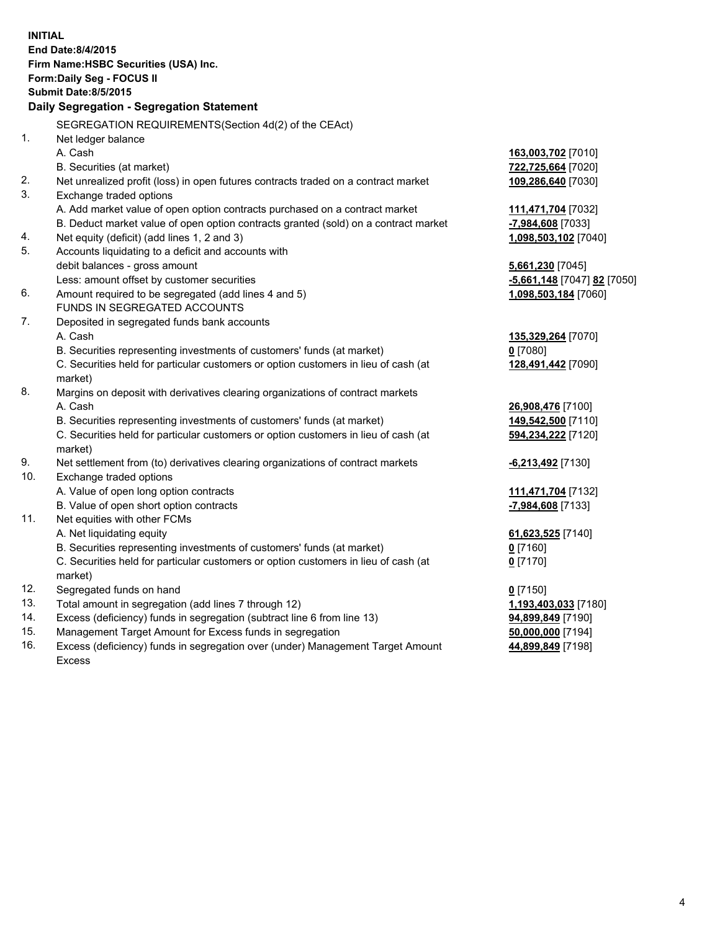| <b>INITIAL</b>                            | End Date:8/4/2015<br>Firm Name: HSBC Securities (USA) Inc.<br>Form: Daily Seg - FOCUS II<br><b>Submit Date:8/5/2015</b> |                              |  |  |
|-------------------------------------------|-------------------------------------------------------------------------------------------------------------------------|------------------------------|--|--|
| Daily Segregation - Segregation Statement |                                                                                                                         |                              |  |  |
|                                           | SEGREGATION REQUIREMENTS(Section 4d(2) of the CEAct)                                                                    |                              |  |  |
| 1.                                        | Net ledger balance                                                                                                      |                              |  |  |
|                                           | A. Cash                                                                                                                 | 163,003,702 [7010]           |  |  |
|                                           | B. Securities (at market)                                                                                               | 722,725,664 [7020]           |  |  |
| 2.                                        | Net unrealized profit (loss) in open futures contracts traded on a contract market                                      | 109,286,640 [7030]           |  |  |
| 3.                                        | Exchange traded options                                                                                                 |                              |  |  |
|                                           | A. Add market value of open option contracts purchased on a contract market                                             | 111,471,704 [7032]           |  |  |
|                                           | B. Deduct market value of open option contracts granted (sold) on a contract market                                     | -7,984,608 [7033]            |  |  |
| 4.                                        | Net equity (deficit) (add lines 1, 2 and 3)                                                                             | 1,098,503,102 [7040]         |  |  |
| 5.                                        | Accounts liquidating to a deficit and accounts with                                                                     |                              |  |  |
|                                           | debit balances - gross amount                                                                                           | 5,661,230 [7045]             |  |  |
|                                           | Less: amount offset by customer securities                                                                              | -5,661,148 [7047] 82 [7050]  |  |  |
| 6.                                        | Amount required to be segregated (add lines 4 and 5)                                                                    | 1,098,503,184 [7060]         |  |  |
|                                           | FUNDS IN SEGREGATED ACCOUNTS                                                                                            |                              |  |  |
| 7.                                        | Deposited in segregated funds bank accounts                                                                             |                              |  |  |
|                                           | A. Cash                                                                                                                 | 135,329,264 [7070]           |  |  |
|                                           | B. Securities representing investments of customers' funds (at market)                                                  | $0$ [7080]                   |  |  |
|                                           | C. Securities held for particular customers or option customers in lieu of cash (at                                     | 128,491,442 [7090]           |  |  |
|                                           | market)                                                                                                                 |                              |  |  |
| 8.                                        | Margins on deposit with derivatives clearing organizations of contract markets                                          |                              |  |  |
|                                           | A. Cash                                                                                                                 | 26,908,476 [7100]            |  |  |
|                                           | B. Securities representing investments of customers' funds (at market)                                                  | 149,542,500 [7110]           |  |  |
|                                           | C. Securities held for particular customers or option customers in lieu of cash (at                                     | 594,234,222 [7120]           |  |  |
|                                           | market)                                                                                                                 |                              |  |  |
| 9.                                        | Net settlement from (to) derivatives clearing organizations of contract markets                                         | -6,213,492 <sup>[7130]</sup> |  |  |
| 10.                                       | Exchange traded options                                                                                                 |                              |  |  |
|                                           | A. Value of open long option contracts                                                                                  | 111,471,704 [7132]           |  |  |
|                                           | B. Value of open short option contracts                                                                                 | -7,984,608 [7133]            |  |  |
| 11.                                       | Net equities with other FCMs                                                                                            |                              |  |  |
|                                           | A. Net liquidating equity                                                                                               | 61,623,525 [7140]            |  |  |
|                                           | B. Securities representing investments of customers' funds (at market)                                                  | $0$ [7160]                   |  |  |
|                                           | C. Securities held for particular customers or option customers in lieu of cash (at<br>market)                          | $0$ [7170]                   |  |  |
| 12.                                       | Segregated funds on hand                                                                                                | $0$ [7150]                   |  |  |
| 13.                                       | Total amount in segregation (add lines 7 through 12)                                                                    | 1,193,403,033 [7180]         |  |  |
| 14.                                       | Excess (deficiency) funds in segregation (subtract line 6 from line 13)                                                 | 94,899,849 [7190]            |  |  |
| 15.                                       | Management Target Amount for Excess funds in segregation                                                                | 50,000,000 [7194]            |  |  |
| 16.                                       | Excess (deficiency) funds in segregation over (under) Management Target Amount                                          | 44,899,849 [7198]            |  |  |

16. Excess (deficiency) funds in segregation over (under) Management Target Amount Excess